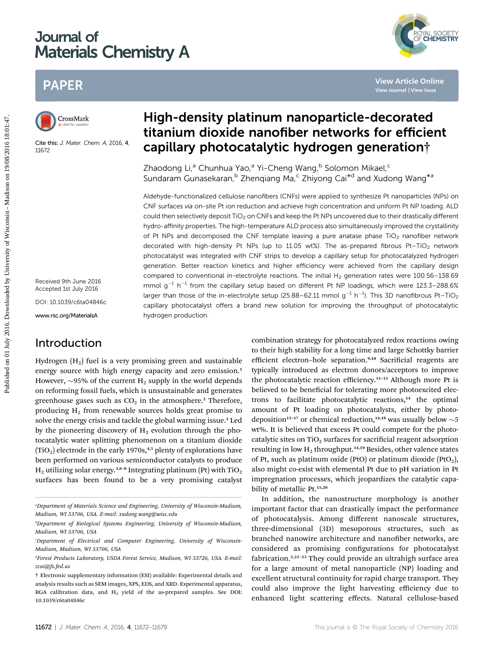# Journal of Materials Chemistry A

# PAPER



Cite this: J. Mater. Chem. A, 2016, 4, 11672

Received 9th June 2016 Accepted 1st July 2016 DOI: 10.1039/c6ta04846c

www.rsc.org/MaterialsA

# Introduction

Hydrogen  $(H<sub>2</sub>)$  fuel is a very promising green and sustainable energy source with high energy capacity and zero emission.<sup>1</sup> However,  $\sim$ 95% of the current H<sub>2</sub> supply in the world depends on reforming fossil fuels, which is unsustainable and generates greenhouse gases such as  $CO<sub>2</sub>$  in the atmosphere.<sup>2</sup> Therefore, producing  $H_2$  from renewable sources holds great promise to solve the energy crisis and tackle the global warming issue.<sup>3</sup> Led by the pioneering discovery of  $H_2$  evolution through the photocatalytic water splitting phenomenon on a titanium dioxide  $(TiO<sub>2</sub>)$  electrode in the early 1970s,<sup>4,5</sup> plenty of explorations have been performed on various semiconductor catalysts to produce  $H_2$  utilizing solar energy.<sup>3,6-8</sup> Integrating platinum (Pt) with TiO<sub>2</sub> surfaces has been found to be a very promising catalyst

# High-density platinum nanoparticle-decorated titanium dioxide nanofiber networks for efficient capillary photocatalytic hydrogen generation†

Zhaodong Li,<sup>a</sup> Chunhua Yao,<sup>a</sup> Yi-Cheng Wang,<sup>b</sup> Solomon Mikael,<sup>c</sup> Sundaram Gunasekaran,<sup>b</sup> Zhengiang Ma,<sup>c</sup> Zhiyong Cai<sup>\*d</sup> and Xudong Wang<sup>\*a</sup>

Aldehyde-functionalized cellulose nanofibers (CNFs) were applied to synthesize Pt nanoparticles (NPs) on CNF surfaces via on-site Pt ion reduction and achieve high concentration and uniform Pt NP loading. ALD could then selectively deposit TiO<sub>2</sub> on CNFs and keep the Pt NPs uncovered due to their drastically different hydro-affinity properties. The high-temperature ALD process also simultaneously improved the crystallinity of Pt NPs and decomposed the CNF template leaving a pure anatase phase  $TiO<sub>2</sub>$  nanofiber network decorated with high-density Pt NPs (up to 11.05 wt%). The as-prepared fibrous Pt-TiO<sub>2</sub> network photocatalyst was integrated with CNF strips to develop a capillary setup for photocatalyzed hydrogen generation. Better reaction kinetics and higher efficiency were achieved from the capillary design compared to conventional in-electrolyte reactions. The initial  $H<sub>2</sub>$  generation rates were 100.56–138.69 mmol  $g^{-1}$  h<sup>-1</sup> from the capillary setup based on different Pt NP loadings, which were 123.3–288.6% larger than those of the in-electrolyte setup (25.88–62.11 mmol g<sup>-1</sup> h<sup>-1</sup>). This 3D nanofibrous Pt–TiO<sub>2</sub> capillary photocatalyst offers a brand new solution for improving the throughput of photocatalytic hydrogen production. **PAPER**<br>
Proposition **High-density platinum nanoparticle-decorated titanium dioxide nanofiber networks for efficient<br>
Chapters 7 Mad. Come A 2008 4<br>
Chapters 2008 4<br>
Distribute 2016 11:47. Chapter of Chapter of Chapter 201** 

combination strategy for photocatalyzed redox reactions owing to their high stability for a long time and large Schottky barrier efficient electron-hole separation.<sup>9,10</sup> Sacrificial reagents are typically introduced as electron donors/acceptors to improve the photocatalytic reaction efficiency.<sup>11-13</sup> Although more Pt is believed to be beneficial for tolerating more photoexcited electrons to facilitate photocatalytic reactions, $14$  the optimal amount of Pt loading on photocatalysts, either by photodeposition<sup>15-17</sup> or chemical reduction,<sup>14,18</sup> was usually below  $\sim$  5 wt%. It is believed that excess Pt could compete for the photocatalytic sites on  $TiO<sub>2</sub>$  surfaces for sacrificial reagent adsorption resulting in low  $H_2$  throughput.<sup>14,19</sup> Besides, other valence states of Pt, such as platinum oxide (PtO) or platinum dioxide (PtO<sub>2</sub>), also might co-exist with elemental Pt due to pH variation in Pt impregnation processes, which jeopardizes the catalytic capability of metallic Pt.<sup>15,20</sup>

YAL SOCIETY<br>CHEMISTRY

In addition, the nanostructure morphology is another important factor that can drastically impact the performance of photocatalysis. Among different nanoscale structures, three-dimensional (3D) mesoporous structures, such as branched nanowire architecture and nanofiber networks, are considered as promising configurations for photocatalyst fabrication.3,21–<sup>23</sup> They could provide an ultrahigh surface area for a large amount of metal nanoparticle (NP) loading and excellent structural continuity for rapid charge transport. They could also improve the light harvesting efficiency due to enhanced light scattering effects. Natural cellulose-based

a Department of Materials Science and Engineering, University of Wisconsin-Madison, Madison, WI 53706, USA. E-mail: xudong.wang@wisc.edu

b Department of Biological Systems Engineering, University of Wisconsin-Madison, Madison, WI 53706, USA

Department of Electrical and Computer Engineering, University of Wisconsin-Madison, Madison, WI 53706, USA

d Forest Products Laboratory, USDA Forest Service, Madison, WI 53726, USA. E-mail: zcai@fs.fed.us

<sup>†</sup> Electronic supplementary information (ESI) available: Experimental details and analysis results such as SEM images, XPS, EDS, and XRD. Experimental apparatus, RGA calibration data, and  $H_2$  yield of the as-prepared samples. See DOI: 10.1039/c6ta04846c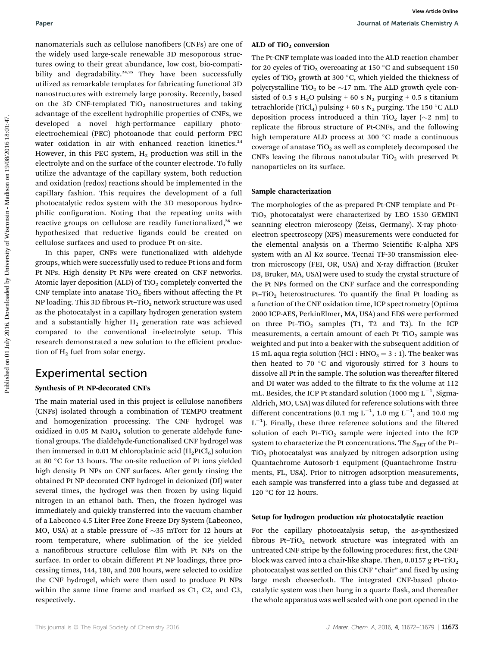nanomaterials such as cellulose nanofibers (CNFs) are one of the widely used large-scale renewable 3D mesoporous structures owing to their great abundance, low cost, bio-compatibility and degradability.<sup>24,25</sup> They have been successfully utilized as remarkable templates for fabricating functional 3D nanostructures with extremely large porosity. Recently, based on the 3D CNF-templated  $TiO<sub>2</sub>$  nanostructures and taking advantage of the excellent hydrophilic properties of CNFs, we developed a novel high-performance capillary photoelectrochemical (PEC) photoanode that could perform PEC water oxidation in air with enhanced reaction kinetics.<sup>24</sup> However, in this PEC system,  $H_2$  production was still in the electrolyte and on the surface of the counter electrode. To fully utilize the advantage of the capillary system, both reduction and oxidation (redox) reactions should be implemented in the capillary fashion. This requires the development of a full photocatalytic redox system with the 3D mesoporous hydrophilic configuration. Noting that the repeating units with reactive groups on cellulose are readily functionalized,<sup>26</sup> we hypothesized that reductive ligands could be created on cellulose surfaces and used to produce Pt on-site. Published on the settleton members (Lvb) are one of **ALD of TiO**, convenion and obtained the state of the control on the particle of the control on the state of the control on the state of Wisconsin and the state of Wiscon

In this paper, CNFs were functionalized with aldehyde groups, which were successfully used to reduce Pt ions and form Pt NPs. High density Pt NPs were created on CNF networks. Atomic layer deposition (ALD) of  $TiO<sub>2</sub>$  completely converted the CNF template into anatase  $TiO<sub>2</sub>$  fibers without affecting the Pt NP loading. This 3D fibrous Pt-TiO<sub>2</sub> network structure was used as the photocatalyst in a capillary hydrogen generation system and a substantially higher  $H_2$  generation rate was achieved compared to the conventional in-electrolyte setup. This research demonstrated a new solution to the efficient production of  $H_2$  fuel from solar energy.

## Experimental section

### Synthesis of Pt NP-decorated CNFs

The main material used in this project is cellulose nanofibers (CNFs) isolated through a combination of TEMPO treatment and homogenization processing. The CNF hydrogel was oxidized in  $0.05$  M NaIO<sub>4</sub> solution to generate aldehyde functional groups. The dialdehyde-functionalized CNF hydrogel was then immersed in 0.01 M chloroplatinic acid  $(H_2PtCl_6)$  solution at 80 °C for 13 hours. The on-site reduction of Pt ions yielded high density Pt NPs on CNF surfaces. After gently rinsing the obtained Pt NP decorated CNF hydrogel in deionized (DI) water several times, the hydrogel was then frozen by using liquid nitrogen in an ethanol bath. Then, the frozen hydrogel was immediately and quickly transferred into the vacuum chamber of a Labconco 4.5 Liter Free Zone Freeze Dry System (Labconco, MO, USA) at a stable pressure of  $\sim$ 35 mTorr for 12 hours at room temperature, where sublimation of the ice yielded a nanofibrous structure cellulose film with Pt NPs on the surface. In order to obtain different Pt NP loadings, three processing times, 144, 180, and 200 hours, were selected to oxidize the CNF hydrogel, which were then used to produce Pt NPs within the same time frame and marked as C1, C2, and C3, respectively.

#### ALD of  $TiO<sub>2</sub>$  conversion

The Pt-CNF template was loaded into the ALD reaction chamber for 20 cycles of TiO<sub>2</sub> overcoating at 150  $^{\circ}$ C and subsequent 150 cycles of TiO<sub>2</sub> growth at 300 °C, which yielded the thickness of polycrystalline TiO<sub>2</sub> to be  $\sim$ 17 nm. The ALD growth cycle consisted of 0.5 s H<sub>2</sub>O pulsing + 60 s N<sub>2</sub> purging + 0.5 s titanium tetrachloride (TiCl<sub>4</sub>) pulsing + 60 s N<sub>2</sub> purging. The 150 °C ALD deposition process introduced a thin TiO<sub>2</sub> layer ( $\sim$ 2 nm) to replicate the fibrous structure of Pt-CNFs, and the following high temperature ALD process at 300 °C made a continuous coverage of anatase  $TiO<sub>2</sub>$  as well as completely decomposed the CNFs leaving the fibrous nanotubular  $TiO<sub>2</sub>$  with preserved Pt nanoparticles on its surface.

### Sample characterization

The morphologies of the as-prepared Pt-CNF template and Pt–  $TiO<sub>2</sub>$  photocatalyst were characterized by LEO 1530 GEMINI scanning electron microscopy (Zeiss, Germany). X-ray photoelectron spectroscopy (XPS) measurements were conducted for the elemental analysis on a Thermo Scientific K-alpha XPS system with an Al Ka source. Tecnai TF-30 transmission electron microscopy (FEI, OR, USA) and X-ray diffraction (Bruker D8, Bruker, MA, USA) were used to study the crystal structure of the Pt NPs formed on the CNF surface and the corresponding Pt-TiO<sub>2</sub> heterostructures. To quantify the final Pt loading as a function of the CNF oxidation time, ICP spectrometry (Optima 2000 ICP-AES, PerkinElmer, MA, USA) and EDS were performed on three Pt-TiO<sub>2</sub> samples (T1, T2 and T3). In the ICP measurements, a certain amount of each Pt–TiO<sub>2</sub> sample was weighted and put into a beaker with the subsequent addition of 15 mL aqua regia solution (HCl :  $HNO<sub>3</sub> = 3 : 1$ ). The beaker was then heated to 70  $^{\circ}$ C and vigorously stirred for 3 hours to dissolve all Pt in the sample. The solution was thereafter filtered and DI water was added to the filtrate to fix the volume at 112 mL. Besides, the ICP Pt standard solution  $(1000 \text{ mg L}^{-1}, \text{Sigma}$ Aldrich, MO, USA) was diluted for reference solutions with three different concentrations (0.1 mg L<sup>-1</sup>, 1.0 mg L<sup>-1</sup>, and 10.0 mg  $L^{-1}$ ). Finally, these three reference solutions and the filtered solution of each Pt-TiO<sub>2</sub> sample were injected into the ICP system to characterize the Pt concentrations. The  $S_{\text{BET}}$  of the Pt-TiO2 photocatalyst was analyzed by nitrogen adsorption using Quantachrome Autosorb-1 equipment (Quantachrome Instruments, FL, USA). Prior to nitrogen adsorption measurements, each sample was transferred into a glass tube and degassed at 120 $\degree$ C for 12 hours.

### Setup for hydrogen production via photocatalytic reaction

For the capillary photocatalysis setup, the as-synthesized fibrous Pt–TiO<sub>2</sub> network structure was integrated with an untreated CNF stripe by the following procedures: first, the CNF block was carved into a chair-like shape. Then,  $0.0157$  g Pt–TiO<sub>2</sub> photocatalyst was settled on this CNF "chair" and fixed by using large mesh cheesecloth. The integrated CNF-based photocatalytic system was then hung in a quartz flask, and thereafter the whole apparatus was well sealed with one port opened in the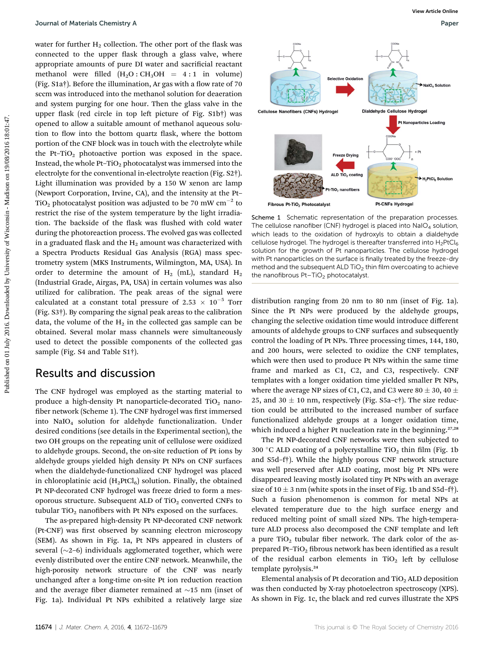water for further  $H_2$  collection. The other port of the flask was connected to the upper flask through a glass valve, where appropriate amounts of pure DI water and sacrificial reactant methanol were filled  $(H_2O:CH_3OH = 4:1$  in volume) (Fig.  $Sta\dagger$ ). Before the illumination, Ar gas with a flow rate of 70 sccm was introduced into the methanol solution for deaeration and system purging for one hour. Then the glass valve in the upper flask (red circle in top left picture of Fig.  $S1b<sup>†</sup>$ ) was opened to allow a suitable amount of methanol aqueous solution to flow into the bottom quartz flask, where the bottom portion of the CNF block was in touch with the electrolyte while the Pt-TiO<sub>2</sub> photoactive portion was exposed in the space. Instead, the whole Pt–TiO<sub>2</sub> photocatalyst was immersed into the electrolyte for the conventional in-electrolyte reaction (Fig. S2†). Light illumination was provided by a 150 W xenon arc lamp (Newport Corporation, Irvine, CA), and the intensity at the Pt– TiO<sub>2</sub> photocatalyst position was adjusted to be 70 mW cm<sup>-2</sup> to restrict the rise of the system temperature by the light irradiation. The backside of the flask was flushed with cold water during the photoreaction process. The evolved gas was collected in a graduated flask and the  $H_2$  amount was characterized with a Spectra Products Residual Gas Analysis (RGA) mass spectrometry system (MKS Instruments, Wilmington, MA, USA). In order to determine the amount of  $H_2$  (mL), standard  $H_2$ (Industrial Grade, Airgas, PA, USA) in certain volumes was also utilized for calibration. The peak areas of the signal were calculated at a constant total pressure of 2.53  $\times$  10<sup>-5</sup> Torr (Fig. S3†). By comparing the signal peak areas to the calibration data, the volume of the  $H_2$  in the collected gas sample can be obtained. Several molar mass channels were simultaneously used to detect the possible components of the collected gas sample (Fig. S4 and Table S1†). Published on the control of the third was a special of the state of the state of the state of the state of the state of the state of the state of the state of the state of the state of the state of the state of the state

## Results and discussion

The CNF hydrogel was employed as the starting material to produce a high-density Pt nanoparticle-decorated  $TiO<sub>2</sub>$  nanofiber network (Scheme 1). The CNF hydrogel was first immersed into NaIO4 solution for aldehyde functionalization. Under desired conditions (see details in the Experimental section), the two OH groups on the repeating unit of cellulose were oxidized to aldehyde groups. Second, the on-site reduction of Pt ions by aldehyde groups yielded high density Pt NPs on CNF surfaces when the dialdehyde-functionalized CNF hydrogel was placed in chloroplatinic acid  $(H_2PtCl_6)$  solution. Finally, the obtained Pt NP-decorated CNF hydrogel was freeze dried to form a mesoporous structure. Subsequent ALD of  $TiO<sub>2</sub>$  converted CNFs to tubular  $TiO<sub>2</sub>$  nanofibers with Pt NPs exposed on the surfaces.

The as-prepared high-density Pt NP-decorated CNF network (Pt-CNF) was first observed by scanning electron microscopy (SEM). As shown in Fig. 1a, Pt NPs appeared in clusters of several  $(\sim 2-6)$  individuals agglomerated together, which were evenly distributed over the entire CNF network. Meanwhile, the high-porosity network structure of the CNF was nearly unchanged after a long-time on-site Pt ion reduction reaction and the average fiber diameter remained at  $\sim$ 15 nm (inset of Fig. 1a). Individual Pt NPs exhibited a relatively large size



Scheme 1 Schematic representation of the preparation processes. The cellulose nanofiber (CNF) hydrogel is placed into  $\text{NaIO}_4$  solution, which leads to the oxidation of hydroxyls to obtain a dialdehyde cellulose hydrogel. The hydrogel is thereafter transferred into  $H_2PtCl_6$ solution for the growth of Pt nanoparticles. The cellulose hydrogel with Pt nanoparticles on the surface is finally treated by the freeze-dry method and the subsequent ALD  $TiO<sub>2</sub>$  thin film overcoating to achieve the nanofibrous  $Pt-TiO<sub>2</sub>$  photocatalyst.

distribution ranging from 20 nm to 80 nm (inset of Fig. 1a). Since the Pt NPs were produced by the aldehyde groups, changing the selective oxidation time would introduce different amounts of aldehyde groups to CNF surfaces and subsequently control the loading of Pt NPs. Three processing times, 144, 180, and 200 hours, were selected to oxidize the CNF templates, which were then used to produce Pt NPs within the same time frame and marked as C1, C2, and C3, respectively. CNF templates with a longer oxidation time yielded smaller Pt NPs, where the average NP sizes of C1, C2, and C3 were 80  $\pm$  30, 40  $\pm$ 25, and 30  $\pm$  10 nm, respectively (Fig. S5a–c†). The size reduction could be attributed to the increased number of surface functionalized aldehyde groups at a longer oxidation time, which induced a higher Pt nucleation rate in the beginning.<sup>27,28</sup>

The Pt NP-decorated CNF networks were then subjected to 300 °C ALD coating of a polycrystalline  $TiO<sub>2</sub>$  thin film (Fig. 1b) and S5d–f†). While the highly porous CNF network structure was well preserved after ALD coating, most big Pt NPs were disappeared leaving mostly isolated tiny Pt NPs with an average size of  $10 \pm 3$  nm (white spots in the inset of Fig. 1b and S5d–f $\dagger$ ). Such a fusion phenomenon is common for metal NPs at elevated temperature due to the high surface energy and reduced melting point of small sized NPs. The high-temperature ALD process also decomposed the CNF template and left a pure TiO<sub>2</sub> tubular fiber network. The dark color of the asprepared Pt-TiO<sub>2</sub> fibrous network has been identified as a result of the residual carbon elements in TiO<sub>2</sub> left by cellulose template pyrolysis.<sup>24</sup>

Elemental analysis of Pt decoration and  $TiO<sub>2</sub> ALD$  deposition was then conducted by X-ray photoelectron spectroscopy (XPS). As shown in Fig. 1c, the black and red curves illustrate the XPS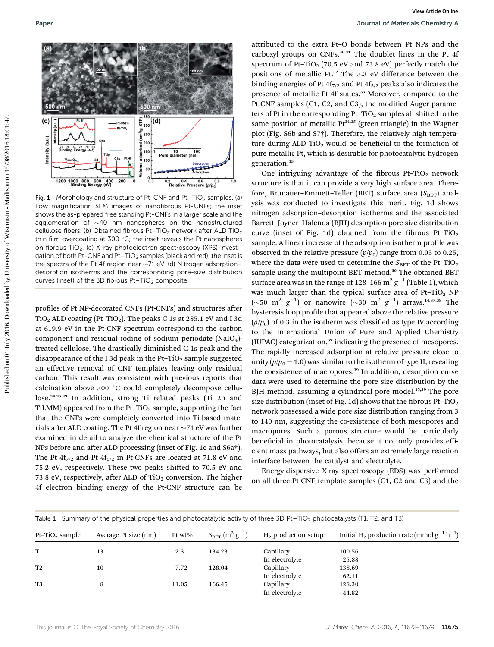

Fig. 1 Morphology and structure of Pt-CNF and Pt-TiO<sub>2</sub> samples. (a) Low magnification SEM images of nanofibrous Pt-CNFs; the inset shows the as-prepared free standing Pt-CNFs in a larger scale and the agglomeration of  $\sim$ 40 nm nanospheres on the nanostructured cellulose fibers. (b) Obtained fibrous Pt-TiO<sub>2</sub> network after ALD TiO<sub>2</sub> thin film overcoating at 300  $^{\circ}$ C; the inset reveals the Pt nanospheres on fibrous TiO<sub>2</sub>. (c) X-ray photoelectron spectroscopy (XPS) investigation of both Pt-CNF and Pt-TiO<sub>2</sub> samples (black and red); the inset is the spectra of the Pt 4f region near  $\sim$ 71 eV. (d) Nitrogen adsorption– desorption isotherms and the corresponding pore-size distribution curves (inset) of the 3D fibrous  $Pt-TiO<sub>2</sub>$  composite.

profiles of Pt NP-decorated CNFs (Pt-CNFs) and structures after  $TiO<sub>2</sub> ALD coating (Pt-TiO<sub>2</sub>)$ . The peaks C 1s at 285.1 eV and I 3d at 619.9 eV in the Pt-CNF spectrum correspond to the carbon component and residual iodine of sodium periodate  $(NaIO<sub>4</sub>)$ treated cellulose. The drastically diminished C 1s peak and the disappearance of the I 3d peak in the Pt-TiO<sub>2</sub> sample suggested an effective removal of CNF templates leaving only residual carbon. This result was consistent with previous reports that calcination above 300 °C could completely decompose cellulose.24,25,29 In addition, strong Ti related peaks (Ti 2p and TiLMM) appeared from the Pt-TiO<sub>2</sub> sample, supporting the fact that the CNFs were completely converted into Ti-based materials after ALD coating. The Pt 4f region near  $\sim$ 71 eV was further examined in detail to analyze the chemical structure of the Pt NPs before and after ALD processing (inset of Fig. 1c and S6a†). The Pt  $4f_{7/2}$  and Pt  $4f_{5/2}$  in Pt-CNFs are located at 71.8 eV and 75.2 eV, respectively. These two peaks shifted to 70.5 eV and 73.8 eV, respectively, after ALD of TiO<sub>2</sub> conversion. The higher 4f electron binding energy of the Pt-CNF structure can be

attributed to the extra Pt–O bonds between Pt NPs and the carboxyl groups on CNFs.<sup>30,31</sup> The doublet lines in the Pt 4f spectrum of Pt-TiO<sub>2</sub> (70.5 eV and 73.8 eV) perfectly match the positions of metallic Pt.<sup>32</sup> The 3.3 eV difference between the binding energies of Pt  $4f_{7/2}$  and Pt  $4f_{5/2}$  peaks also indicates the presence of metallic Pt 4f states.<sup>33</sup> Moreover, compared to the Pt-CNF samples (C1, C2, and C3), the modified Auger parameters of Pt in the corresponding Pt-TiO<sub>2</sub> samples all shifted to the same position of metallic  $Pt^{34,35}$  (green triangle) in the Wagner plot (Fig. S6b and S7†). Therefore, the relatively high temperature during ALD  $TiO<sub>2</sub>$  would be beneficial to the formation of pure metallic Pt, which is desirable for photocatalytic hydrogen generation.<sup>15</sup>

One intriguing advantage of the fibrous Pt-TiO<sub>2</sub> network structure is that it can provide a very high surface area. Therefore, Brunauer-Emmett-Teller (BET) surface area  $(S<sub>BET</sub>)$  analysis was conducted to investigate this merit. Fig. 1d shows nitrogen adsorption–desorption isotherms and the associated Barrett–Joyner–Halenda (BJH) desorption pore size distribution curve (inset of Fig. 1d) obtained from the fibrous Pt–TiO<sub>2</sub> sample. A linear increase of the adsorption isotherm profile was observed in the relative pressure  $(p/p_0)$  range from 0.05 to 0.25, where the data were used to determine the  $S_{\mathrm{BET}}$  of the Pt–TiO<sub>2</sub> sample using the multipoint BET method.<sup>36</sup> The obtained BET surface area was in the range of 128–166  $\text{m}^2$  g<sup>-1</sup> (Table 1), which was much larger than the typical surface area of Pt-TiO<sub>2</sub> NP  $(\sim 50 \text{ m}^2 \text{ g}^{-1})$  or nanowire  $(\sim 30 \text{ m}^2 \text{ g}^{-1})$  arrays.<sup>14,37,38</sup> The hysteresis loop profile that appeared above the relative pressure  $(p/p_0)$  of 0.3 in the isotherm was classified as type IV according to the International Union of Pure and Applied Chemistry (IUPAC) categorization,<sup>39</sup> indicating the presence of mesopores. The rapidly increased adsorption at relative pressure close to unity  $(p/p_0 = 1.0)$  was similar to the isotherm of type II, revealing the coexistence of macropores.<sup>39</sup> In addition, desorption curve data were used to determine the pore size distribution by the BJH method, assuming a cylindrical pore model.<sup>15,39</sup> The pore size distribution (inset of Fig. 1d) shows that the fibrous Pt–TiO<sub>2</sub> network possessed a wide pore size distribution ranging from 3 to 140 nm, suggesting the co-existence of both mesopores and macropores. Such a porous structure would be particularly beneficial in photocatalysis, because it not only provides efficient mass pathways, but also offers an extremely large reaction interface between the catalyst and electrolyte. Published on the state of the total published by the state of the state of the state of the state of the state of the state of the state of the state of the state of the state of the state of the state of the state of th

> Energy-dispersive X-ray spectroscopy (EDS) was performed on all three Pt-CNF template samples (C1, C2 and C3) and the

|  |  |  |  |  | Table 1 Summary of the physical properties and photocatalytic activity of three 3D Pt-TiO <sub>2</sub> photocatalysts (T1, T2, and T3) |  |
|--|--|--|--|--|----------------------------------------------------------------------------------------------------------------------------------------|--|
|--|--|--|--|--|----------------------------------------------------------------------------------------------------------------------------------------|--|

| $Pt-TiO2$ sample | Average Pt size (nm) | Pt $wt\%$ | $S_{\rm BET}$ $({\rm m^2~g^{-1}})$ | $H_2$ production setup | Initial H <sub>2</sub> production rate (mmol $g^{-1} h^{-1}$ ) |
|------------------|----------------------|-----------|------------------------------------|------------------------|----------------------------------------------------------------|
| <b>T1</b>        | 13                   | 2.3       | 134.23                             | Capillary              | 100.56                                                         |
|                  |                      |           |                                    | In electrolyte         | 25.88                                                          |
| T <sub>2</sub>   | 10                   | 7.72      | 128.04                             | Capillary              | 138.69                                                         |
|                  |                      |           |                                    | In electrolyte         | 62.11                                                          |
| T <sub>3</sub>   | 8                    | 11.05     | 166.45                             | Capillary              | 128.30                                                         |
|                  |                      |           |                                    | In electrolyte         | 44.82                                                          |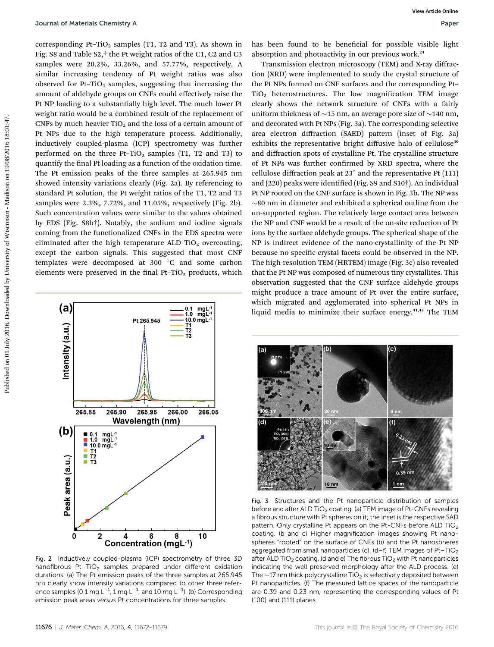corresponding Pt–TiO<sub>2</sub> samples (T1, T2 and T3). As shown in Fig. S8 and Table S2,† the Pt weight ratios of the C1, C2 and C3 samples were 20.2%, 33.26%, and 57.77%, respectively. A similar increasing tendency of Pt weight ratios was also observed for Pt-TiO<sub>2</sub> samples, suggesting that increasing the amount of aldehyde groups on CNFs could effectively raise the Pt NP loading to a substantially high level. The much lower Pt weight ratio would be a combined result of the replacement of CNFs by much heavier  $TiO<sub>2</sub>$  and the loss of a certain amount of Pt NPs due to the high temperature process. Additionally, inductively coupled-plasma (ICP) spectrometry was further performed on the three Pt-TiO<sub>2</sub> samples (T1, T2 and T3) to quantify the final Pt loading as a function of the oxidation time. The Pt emission peaks of the three samples at 265.945 nm showed intensity variations clearly (Fig. 2a). By referencing to standard Pt solution, the Pt weight ratios of the T1, T2 and T3 samples were 2.3%, 7.72%, and 11.05%, respectively (Fig. 2b). Such concentration values were similar to the values obtained by EDS (Fig. S8b†). Notably, the sodium and iodine signals coming from the functionalized CNFs in the EDS spectra were eliminated after the high temperature ALD TiO<sub>2</sub> overcoating, except the carbon signals. This suggested that most CNF templates were decomposed at 300 °C and some carbon elements were preserved in the final Pt-TiO<sub>2</sub> products, which



Fig. 2 Inductively coupled-plasma (ICP) spectrometry of three 3D nanofibrous Pt-TiO<sub>2</sub> samples prepared under different oxidation durations. (a) The Pt emission peaks of the three samples at 265.945 nm clearly show intensity variations compared to other three reference samples (0.1 mg L $^{-1}$ , 1 mg L $^{-1}$ , and 10 mg L $^{-1}$ ). (b) Corresponding emission peak areas versus Pt concentrations for three samples.

has been found to be beneficial for possible visible light absorption and photoactivity in our previous work.<sup>24</sup>

Transmission electron microscopy (TEM) and X-ray diffraction (XRD) were implemented to study the crystal structure of the Pt NPs formed on CNF surfaces and the corresponding Pt–  $TiO<sub>2</sub>$  heterostructures. The low magnification TEM image clearly shows the network structure of CNFs with a fairly uniform thickness of  $\sim$ 15 nm, an average pore size of  $\sim$ 140 nm, and decorated with Pt NPs (Fig. 3a). The corresponding selective area electron diffraction (SAED) pattern (inset of Fig. 3a) exhibits the representative bright diffusive halo of cellulose<sup>40</sup> and diffraction spots of crystalline Pt. The crystalline structure of Pt NPs was further confirmed by XRD spectra, where the cellulose diffraction peak at 23 $^{\circ}$  and the representative Pt (111) and (220) peaks were identified (Fig. S9 and S10†). An individual Pt NP rooted on the CNF surface is shown in Fig. 3b. The NP was  $\sim$ 80 nm in diameter and exhibited a spherical outline from the un-supported region. The relatively large contact area between the NP and CNF would be a result of the on-site reduction of Pt ions by the surface aldehyde groups. The spherical shape of the NP is indirect evidence of the nano-crystallinity of the Pt NP because no specific crystal facets could be observed in the NP. The high-resolution TEM (HRTEM) image (Fig. 3c) also revealed that the Pt NP was composed of numerous tiny crystallites. This observation suggested that the CNF surface aldehyde groups might produce a trace amount of Pt over the entire surface, which migrated and agglomerated into spherical Pt NPs in liquid media to minimize their surface energy.41,42 The TEM Published Chemistry A<br>
corresponding 19:10, a smaller (17:12 and 13), As aboves in the host formula description of Paper Corresponding to the Microsofte Chemistra Chemistra Chemistra Chemistra Chemistra Chemistra Chemistr



Fig. 3 Structures and the Pt nanoparticle distribution of samples before and after ALD TiO<sub>2</sub> coating. (a) TEM image of Pt-CNFs revealing a fibrous structure with Pt spheres on it; the inset is the respective SAD pattern. Only crystalline Pt appears on the Pt-CNFs before ALD TiO<sub>2</sub> coating. (b and c) Higher magnification images showing Pt nanospheres "rooted" on the surface of CNFs (b) and the Pt nanospheres aggregated from small nanoparticles (c).  $(d-f)$  TEM images of Pt-TiO<sub>2</sub> after ALD TiO<sub>2</sub> coating. (d and e) The fibrous TiO<sub>2</sub> with Pt nanoparticles indicating the well preserved morphology after the ALD process. (e) The  $\sim$ 17 nm thick polycrystalline TiO<sub>2</sub> is selectively deposited between Pt nanoparticles. (f) The measured lattice spaces of the nanoparticle are 0.39 and 0.23 nm, representing the corresponding values of Pt (100) and (111) planes.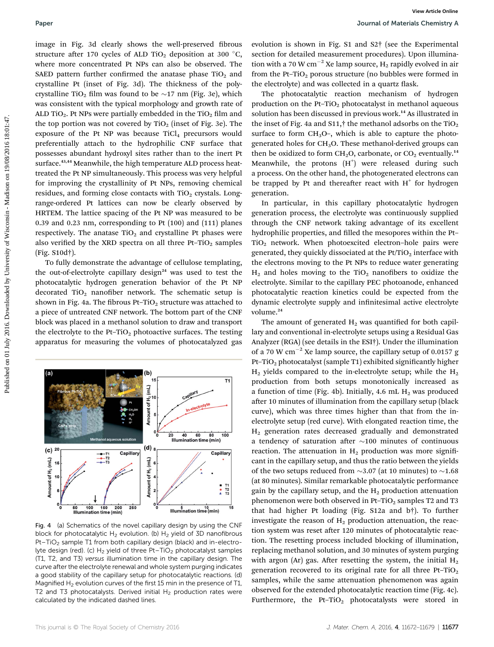image in Fig. 3d clearly shows the well-preserved fibrous structure after 170 cycles of ALD TiO<sub>2</sub> deposition at 300 °C, where more concentrated Pt NPs can also be observed. The SAED pattern further confirmed the anatase phase  $TiO<sub>2</sub>$  and crystalline Pt (inset of Fig. 3d). The thickness of the polycrystalline TiO<sub>2</sub> film was found to be  $\sim$ 17 nm (Fig. 3e), which was consistent with the typical morphology and growth rate of ALD TiO<sub>2</sub>. Pt NPs were partially embedded in the TiO<sub>2</sub> film and the top portion was not covered by  $TiO<sub>2</sub>$  (inset of Fig. 3e). The exposure of the Pt NP was because  $TiCl<sub>4</sub>$  precursors would preferentially attach to the hydrophilic CNF surface that possesses abundant hydroxyl sites rather than to the inert Pt surface.<sup>43,44</sup> Meanwhile, the high temperature ALD process heattreated the Pt NP simultaneously. This process was very helpful for improving the crystallinity of Pt NPs, removing chemical residues, and forming close contacts with  $TiO<sub>2</sub>$  crystals. Longrange-ordered Pt lattices can now be clearly observed by HRTEM. The lattice spacing of the Pt NP was measured to be 0.39 and 0.23 nm, corresponding to Pt (100) and (111) planes respectively. The anatase  $TiO<sub>2</sub>$  and crystalline Pt phases were also verified by the XRD spectra on all three Pt-TiO<sub>2</sub> samples (Fig. S10d†). **Puer and the continuous continuous continuous continuous continuous continuous continuous continuous continuous continuous continuous continuous continuous continuous continuous continuous continuous continuous continuou** 

To fully demonstrate the advantage of cellulose templating, the out-of-electrolyte capillary design<sup>24</sup> was used to test the photocatalytic hydrogen generation behavior of the Pt NP decorated TiO<sub>2</sub> nanofiber network. The schematic setup is shown in Fig. 4a. The fibrous Pt-TiO<sub>2</sub> structure was attached to a piece of untreated CNF network. The bottom part of the CNF block was placed in a methanol solution to draw and transport the electrolyte to the Pt–TiO<sub>2</sub> photoactive surfaces. The testing apparatus for measuring the volumes of photocatalyzed gas



Fig. 4 (a) Schematics of the novel capillary design by using the CNF block for photocatalytic  $H_2$  evolution. (b)  $H_2$  yield of 3D nanofibrous Pt-TiO<sub>2</sub> sample T1 from both capillary design (black) and in-electrolyte design (red). (c) H<sub>2</sub> yield of three Pt-TiO<sub>2</sub> photocatalyst samples (T1, T2, and T3) versus illumination time in the capillary design. The curve after the electrolyte renewal and whole system purging indicates a good stability of the capillary setup for photocatalytic reactions. (d) Magnified H<sub>2</sub> evolution curves of the first 15 min in the presence of T1, T2 and T3 photocatalysts. Derived initial  $H_2$  production rates were calculated by the indicated dashed lines.

evolution is shown in Fig. S1 and S2† (see the Experimental section for detailed measurement procedures). Upon illumination with a 70 W cm<sup>-2</sup> Xe lamp source,  $H_2$  rapidly evolved in air from the Pt-TiO<sub>2</sub> porous structure (no bubbles were formed in the electrolyte) and was collected in a quartz flask.

The photocatalytic reaction mechanism of hydrogen production on the Pt-TiO<sub>2</sub> photocatalyst in methanol aqueous solution has been discussed in previous work.<sup>14</sup> As illustrated in the inset of Fig. 4a and S11, $\dagger$  the methanol adsorbs on the TiO<sub>2</sub> surface to form  $CH<sub>3</sub>O<sub>-</sub>$ , which is able to capture the photogenerated holes for CH3O. These methanol-derived groups can then be oxidized to form  $CH<sub>2</sub>O$ , carbonate, or  $CO<sub>2</sub>$  eventually.<sup>14</sup> Meanwhile, the protons  $(H<sup>+</sup>)$  were released during such a process. On the other hand, the photogenerated electrons can be trapped by Pt and thereafter react with  $H^+$  for hydrogen generation.

In particular, in this capillary photocatalytic hydrogen generation process, the electrolyte was continuously supplied through the CNF network taking advantage of its excellent hydrophilic properties, and filled the mesopores within the Pt- $TiO<sub>2</sub>$  network. When photoexcited electron-hole pairs were generated, they quickly dissociated at the  $Pt/TiO<sub>2</sub>$  interface with the electrons moving to the Pt NPs to reduce water generating  $H_2$  and holes moving to the TiO<sub>2</sub> nanofibers to oxidize the electrolyte. Similar to the capillary PEC photoanode, enhanced photocatalytic reaction kinetics could be expected from the dynamic electrolyte supply and infinitesimal active electrolyte volume.<sup>24</sup>

The amount of generated  $H_2$  was quantified for both capillary and conventional in-electrolyte setups using a Residual Gas Analyzer (RGA) (see details in the ESI†). Under the illumination of a 70 W  $\text{cm}^{-2}$  Xe lamp source, the capillary setup of 0.0157 g Pt–TiO<sub>2</sub> photocatalyst (sample T1) exhibited significantly higher  $H_2$  yields compared to the in-electrolyte setup; while the  $H_2$ production from both setups monotonically increased as a function of time (Fig. 4b). Initially, 4.6 mL  $H_2$  was produced after 10 minutes of illumination from the capillary setup (black curve), which was three times higher than that from the inelectrolyte setup (red curve). With elongated reaction time, the H2 generation rates decreased gradually and demonstrated a tendency of saturation after  $\sim$ 100 minutes of continuous reaction. The attenuation in  $H_2$  production was more significant in the capillary setup, and thus the ratio between the yields of the two setups reduced from  $\sim$ 3.07 (at 10 minutes) to  $\sim$ 1.68 (at 80 minutes). Similar remarkable photocatalytic performance gain by the capillary setup, and the  $H_2$  production attenuation phenomenon were both observed in Pt-TiO<sub>2</sub> samples T2 and T3 that had higher Pt loading (Fig. S12a and b†). To further investigate the reason of  $H_2$  production attenuation, the reaction system was reset after 120 minutes of photocatalytic reaction. The resetting process included blocking of illumination, replacing methanol solution, and 30 minutes of system purging with argon (Ar) gas. After resetting the system, the initial  $H_2$ generation recovered to its original rate for all three Pt-TiO<sub>2</sub> samples, while the same attenuation phenomenon was again observed for the extended photocatalytic reaction time (Fig. 4c). Furthermore, the Pt-TiO<sub>2</sub> photocatalysts were stored in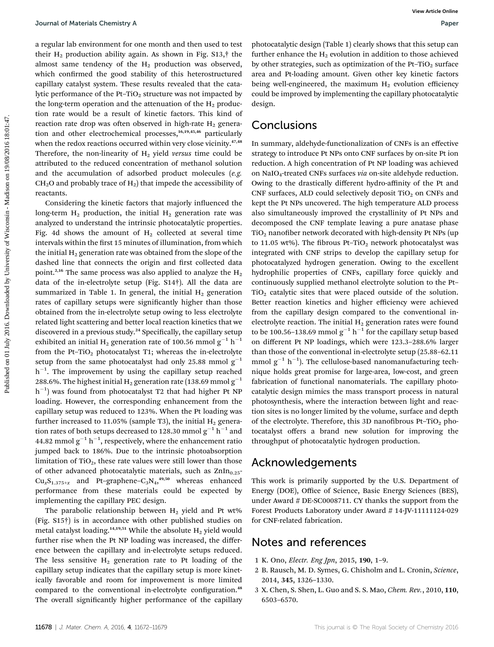a regular lab environment for one month and then used to test their  $H_2$  production ability again. As shown in Fig. S13, $\dagger$  the almost same tendency of the  $H<sub>2</sub>$  production was observed, which confirmed the good stability of this heterostructured capillary catalyst system. These results revealed that the catalytic performance of the Pt-TiO<sub>2</sub> structure was not impacted by the long-term operation and the attenuation of the  $H_2$  production rate would be a result of kinetic factors. This kind of reaction rate drop was often observed in high-rate  $H_2$  generation and other electrochemical processes,<sup>16,19,45,46</sup> particularly when the redox reactions occurred within very close vicinity.<sup>47,48</sup> Therefore, the non-linearity of  $H<sub>2</sub>$  yield versus time could be attributed to the reduced concentration of methanol solution and the accumulation of adsorbed product molecules (e.g.  $CH<sub>2</sub>O$  and probably trace of  $H<sub>2</sub>$ ) that impede the accessibility of reactants.

Considering the kinetic factors that majorly influenced the long-term  $H_2$  production, the initial  $H_2$  generation rate was analyzed to understand the intrinsic photocatalytic properties. Fig. 4d shows the amount of  $H<sub>2</sub>$  collected at several time intervals within the first 15 minutes of illumination, from which the initial  $H_2$  generation rate was obtained from the slope of the dashed line that connects the origin and first collected data point.<sup>2,16</sup> The same process was also applied to analyze the  $H_2$ data of the in-electrolyte setup (Fig. S14†). All the data are summarized in Table 1. In general, the initial  $H_2$  generation rates of capillary setups were significantly higher than those obtained from the in-electrolyte setup owing to less electrolyte related light scattering and better local reaction kinetics that we discovered in a previous study.<sup>24</sup> Specifically, the capillary setup exhibited an initial H<sub>2</sub> generation rate of 100.56 mmol  $g^{-1}$  h<sup>-1</sup> from the Pt-TiO<sub>2</sub> photocatalyst T1; whereas the in-electrolyte setup from the same photocatalyst had only 25.88 mmol  $g^{-1}$  $h^{-1}$ . The improvement by using the capillary setup reached 288.6%. The highest initial H<sub>2</sub> generation rate (138.69 mmol  $g^{-1}$ )  $\,h^{-1})$  was found from photocatalyst T2 that had higher Pt NP loading. However, the corresponding enhancement from the capillary setup was reduced to 123%. When the Pt loading was further increased to 11.05% (sample T3), the initial  $H_2$  generation rates of both setups decreased to 128.30 mmol  $g^{-1}$  h<sup>-1</sup> and 44.82 mmol  $\mathrm{g}^{-1}$  h $^{-1}$ , respectively, where the enhancement ratio jumped back to 186%. Due to the intrinsic photoabsorption limitation of  $TiO<sub>2</sub>$ , these rate values were still lower than those of other advanced photocatalytic materials, such as  $\text{ZnIn}_{0.25}$ - $Cu<sub>x</sub>S<sub>1.375+x</sub>$  and Pt-graphene- $C<sub>3</sub>N<sub>4</sub>,<sup>49,50</sup>$  whereas enhanced performance from these materials could be expected by implementing the capillary PEC design.

The parabolic relationship between  $H_2$  yield and Pt wt% (Fig. S15†) is in accordance with other published studies on metal catalyst loading.<sup>14,19,51</sup> While the absolute  $H_2$  yield would further rise when the Pt NP loading was increased, the difference between the capillary and in-electrolyte setups reduced. The less sensitive  $H_2$  generation rate to Pt loading of the capillary setup indicates that the capillary setup is more kinetically favorable and room for improvement is more limited compared to the conventional in-electrolyte configuration.<sup>48</sup> The overall significantly higher performance of the capillary photocatalytic design (Table 1) clearly shows that this setup can further enhance the  $H_2$  evolution in addition to those achieved by other strategies, such as optimization of the Pt–TiO<sub>2</sub> surface area and Pt-loading amount. Given other key kinetic factors being well-engineered, the maximum  $H_2$  evolution efficiency could be improved by implementing the capillary photocatalytic design.

# Conclusions

In summary, aldehyde-functionalization of CNFs is an effective strategy to introduce Pt NPs onto CNF surfaces by on-site Pt ion reduction. A high concentration of Pt NP loading was achieved on NaIO<sub>4</sub>-treated CNFs surfaces via on-site aldehyde reduction. Owing to the drastically different hydro-affinity of the Pt and CNF surfaces, ALD could selectively deposit  $TiO<sub>2</sub>$  on CNFs and kept the Pt NPs uncovered. The high temperature ALD process also simultaneously improved the crystallinity of Pt NPs and decomposed the CNF template leaving a pure anatase phase  $TiO<sub>2</sub>$  nanofiber network decorated with high-density Pt NPs (up to 11.05 wt%). The fibrous Pt-TiO<sub>2</sub> network photocatalyst was integrated with CNF strips to develop the capillary setup for photocatalyzed hydrogen generation. Owing to the excellent hydrophilic properties of CNFs, capillary force quickly and continuously supplied methanol electrolyte solution to the Pt–  $TiO<sub>2</sub>$  catalytic sites that were placed outside of the solution. Better reaction kinetics and higher efficiency were achieved from the capillary design compared to the conventional inelectrolyte reaction. The initial  $H_2$  generation rates were found to be 100.56–138.69 mmol  $g^{-1}$  h<sup>-1</sup> for the capillary setup based on different Pt NP loadings, which were 123.3–288.6% larger than those of the conventional in-electrolyte setup (25.88–62.11 mmol  $g^{-1}$  h<sup>-1</sup>). The cellulose-based nanomanufacturing technique holds great promise for large-area, low-cost, and green fabrication of functional nanomaterials. The capillary photocatalytic design mimics the mass transport process in natural photosynthesis, where the interaction between light and reaction sites is no longer limited by the volume, surface and depth of the electrolyte. Therefore, this 3D nanofibrous Pt-TiO<sub>2</sub> photocatalyst offers a brand new solution for improving the throughput of photocatalytic hydrogen production. Sources of Figure 1 Alternia Commissy A<br>
a regular tab environment for one month and then used to ret. photoenlapic design; (tabs 1) denote the this entropy and<br>
details a regular to the state of the state of the state of

## Acknowledgements

This work is primarily supported by the U.S. Department of Energy (DOE), Office of Science, Basic Energy Sciences (BES), under Award # DE-SC0008711. CY thanks the support from the Forest Products Laboratory under Award # 14-JV-11111124-029 for CNF-related fabrication.

# Notes and references

- 1 K. Ono, Electr. Eng Jpn, 2015, 190, 1–9.
- 2 B. Rausch, M. D. Symes, G. Chisholm and L. Cronin, Science, 2014, 345, 1326–1330.
- 3 X. Chen, S. Shen, L. Guo and S. S. Mao, Chem. Rev., 2010, 110, 6503–6570.